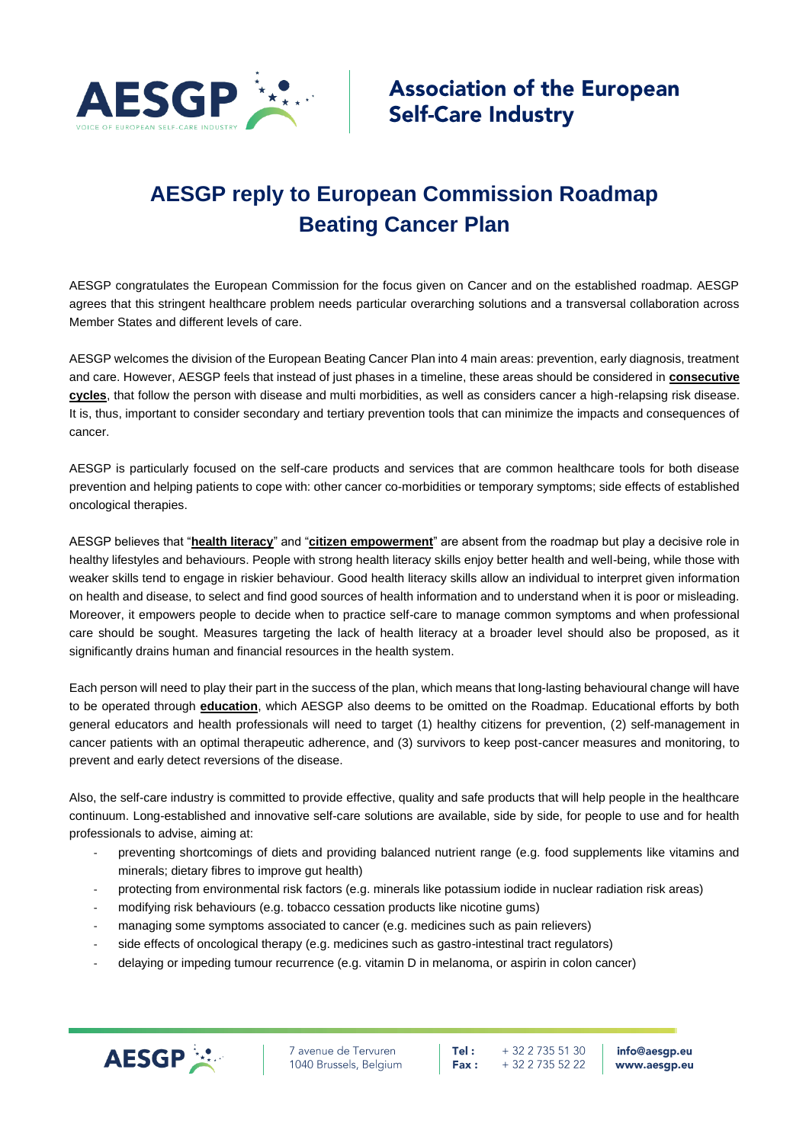

## **AESGP reply to European Commission Roadmap Beating Cancer Plan**

AESGP congratulates the European Commission for the focus given on Cancer and on the established roadmap. AESGP agrees that this stringent healthcare problem needs particular overarching solutions and a transversal collaboration across Member States and different levels of care.

AESGP welcomes the division of the European Beating Cancer Plan into 4 main areas: prevention, early diagnosis, treatment and care. However, AESGP feels that instead of just phases in a timeline, these areas should be considered in **consecutive cycles**, that follow the person with disease and multi morbidities, as well as considers cancer a high-relapsing risk disease. It is, thus, important to consider secondary and tertiary prevention tools that can minimize the impacts and consequences of cancer.

AESGP is particularly focused on the self-care products and services that are common healthcare tools for both disease prevention and helping patients to cope with: other cancer co-morbidities or temporary symptoms; side effects of established oncological therapies.

AESGP believes that "**health literacy**" and "**citizen empowerment**" are absent from the roadmap but play a decisive role in healthy lifestyles and behaviours. People with strong health literacy skills enjoy better health and well-being, while those with weaker skills tend to engage in riskier behaviour. Good health literacy skills allow an individual to interpret given information on health and disease, to select and find good sources of health information and to understand when it is poor or misleading. Moreover, it empowers people to decide when to practice self-care to manage common symptoms and when professional care should be sought. Measures targeting the lack of health literacy at a broader level should also be proposed, as it significantly drains human and financial resources in the health system.

Each person will need to play their part in the success of the plan, which means that long-lasting behavioural change will have to be operated through **education**, which AESGP also deems to be omitted on the Roadmap. Educational efforts by both general educators and health professionals will need to target (1) healthy citizens for prevention, (2) self-management in cancer patients with an optimal therapeutic adherence, and (3) survivors to keep post-cancer measures and monitoring, to prevent and early detect reversions of the disease.

Also, the self-care industry is committed to provide effective, quality and safe products that will help people in the healthcare continuum. Long-established and innovative self-care solutions are available, side by side, for people to use and for health professionals to advise, aiming at:

- preventing shortcomings of diets and providing balanced nutrient range (e.g. food supplements like vitamins and minerals; dietary fibres to improve gut health)
- protecting from environmental risk factors (e.g. minerals like potassium iodide in nuclear radiation risk areas)
- modifying risk behaviours (e.g. tobacco cessation products like nicotine gums)
- managing some symptoms associated to cancer (e.g. medicines such as pain relievers)
- side effects of oncological therapy (e.g. medicines such as gastro-intestinal tract regulators)
- delaying or impeding tumour recurrence (e.g. vitamin D in melanoma, or aspirin in colon cancer)